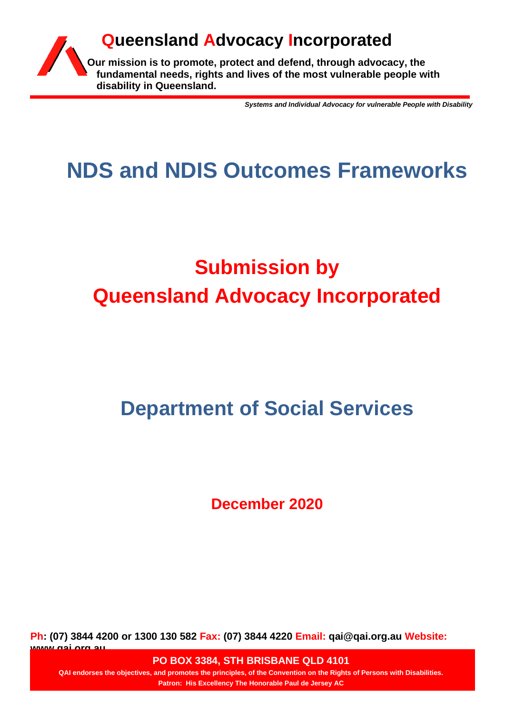

*Systems and Individual Advocacy for vulnerable People with Disability*

## **NDS and NDIS Outcomes Frameworks**

# **Submission by Queensland Advocacy Incorporated**

## **Department of Social Services**

**December 2020**

**Ph: (07) 3844 4200 or 1300 130 582 Fax: (07) 3844 4220 Email: qai@qai.org.au Website: www.qai.org.au**

**PO BOX 3384, STH BRISBANE QLD 4101** 

**QAI endorses the objectives, and promotes the principles, of the Convention on the Rights of Persons with Disabilities. Patron: His Excellency The Honorable Paul de Jersey AC**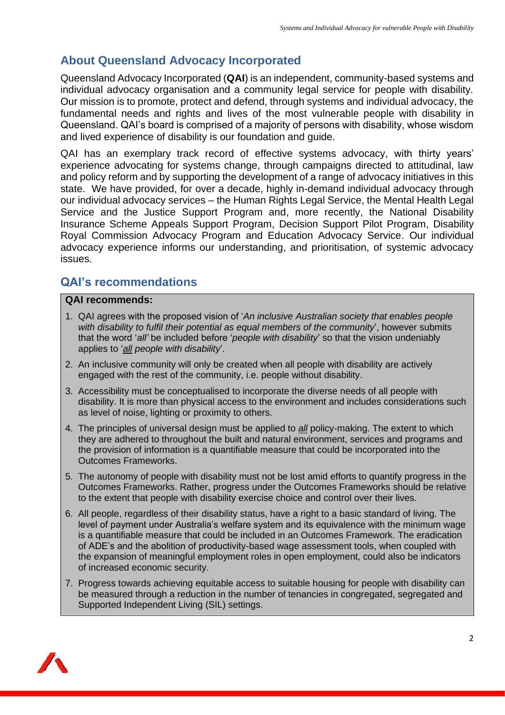## **About Queensland Advocacy Incorporated**

Queensland Advocacy Incorporated (**QAI**) is an independent, community-based systems and individual advocacy organisation and a community legal service for people with disability. Our mission is to promote, protect and defend, through systems and individual advocacy, the fundamental needs and rights and lives of the most vulnerable people with disability in Queensland. QAI's board is comprised of a majority of persons with disability, whose wisdom and lived experience of disability is our foundation and guide.

QAI has an exemplary track record of effective systems advocacy, with thirty years' experience advocating for systems change, through campaigns directed to attitudinal, law and policy reform and by supporting the development of a range of advocacy initiatives in this state. We have provided, for over a decade, highly in-demand individual advocacy through our individual advocacy services – the Human Rights Legal Service, the Mental Health Legal Service and the Justice Support Program and, more recently, the National Disability Insurance Scheme Appeals Support Program, Decision Support Pilot Program, Disability Royal Commission Advocacy Program and Education Advocacy Service. Our individual advocacy experience informs our understanding, and prioritisation, of systemic advocacy issues.

### **QAI's recommendations**

#### **QAI recommends:**

- 1. QAI agrees with the proposed vision of '*An inclusive Australian society that enables people with disability to fulfil their potential as equal members of the community*', however submits that the word '*all'* be included before '*people with disability*' so that the vision undeniably applies to '*all people with disability*'.
- 2. An inclusive community will only be created when all people with disability are actively engaged with the rest of the community, i.e. people without disability.
- 3. Accessibility must be conceptualised to incorporate the diverse needs of all people with disability. It is more than physical access to the environment and includes considerations such as level of noise, lighting or proximity to others.
- 4. The principles of universal design must be applied to *all* policy-making. The extent to which they are adhered to throughout the built and natural environment, services and programs and the provision of information is a quantifiable measure that could be incorporated into the Outcomes Frameworks.
- 5. The autonomy of people with disability must not be lost amid efforts to quantify progress in the Outcomes Frameworks. Rather, progress under the Outcomes Frameworks should be relative to the extent that people with disability exercise choice and control over their lives.
- 6. All people, regardless of their disability status, have a right to a basic standard of living. The level of payment under Australia's welfare system and its equivalence with the minimum wage is a quantifiable measure that could be included in an Outcomes Framework. The eradication of ADE's and the abolition of productivity-based wage assessment tools, when coupled with the expansion of meaningful employment roles in open employment, could also be indicators of increased economic security.
- 7. Progress towards achieving equitable access to suitable housing for people with disability can be measured through a reduction in the number of tenancies in congregated, segregated and Supported Independent Living (SIL) settings.

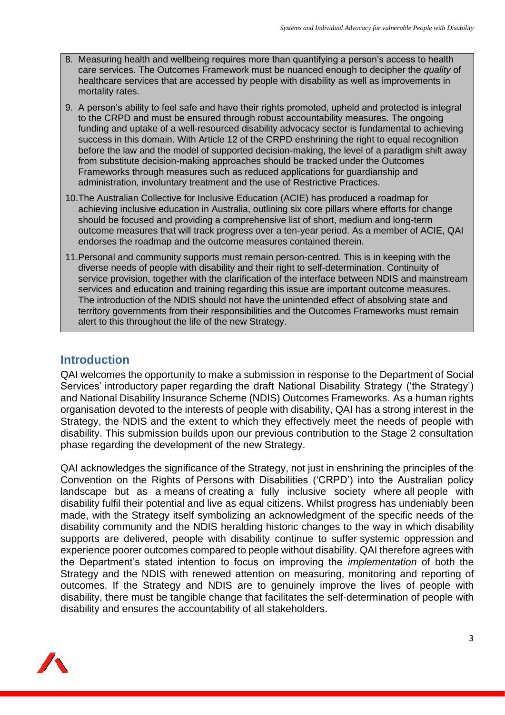- 8. Measuring health and wellbeing requires more than quantifying a person's access to health care services. The Outcomes Framework must be nuanced enough to decipher the *quality* of healthcare services that are accessed by people with disability as well as improvements in mortality rates.
- 9. A person's ability to feel safe and have their rights promoted, upheld and protected is integral to the CRPD and must be ensured through robust accountability measures. The ongoing funding and uptake of a well-resourced disability advocacy sector is fundamental to achieving success in this domain. With Article 12 of the CRPD enshrining the right to equal recognition before the law and the model of supported decision-making, the level of a paradigm shift away from substitute decision-making approaches should be tracked under the Outcomes Frameworks through measures such as reduced applications for guardianship and administration, involuntary treatment and the use of Restrictive Practices.
- 10.The Australian Collective for Inclusive Education (ACIE) has produced a roadmap for achieving inclusive education in Australia, outlining six core pillars where efforts for change should be focused and providing a comprehensive list of short, medium and long-term outcome measures that will track progress over a ten-year period. As a member of ACIE, QAI endorses the roadmap and the outcome measures contained therein.
- 11.Personal and community supports must remain person-centred. This is in keeping with the diverse needs of people with disability and their right to self-determination. Continuity of service provision, together with the clarification of the interface between NDIS and mainstream services and education and training regarding this issue are important outcome measures. The introduction of the NDIS should not have the unintended effect of absolving state and territory governments from their responsibilities and the Outcomes Frameworks must remain alert to this throughout the life of the new Strategy.

#### **Introduction**

QAI welcomes the opportunity to make a submission in response to the Department of Social Services' introductory paper regarding the draft National Disability Strategy ('the Strategy') and National Disability Insurance Scheme (NDIS) Outcomes Frameworks. As a human rights organisation devoted to the interests of people with disability, QAI has a strong interest in the Strategy, the NDIS and the extent to which they effectively meet the needs of people with disability. This submission builds upon our previous contribution to the Stage 2 consultation phase regarding the development of the new Strategy.

QAI acknowledges the significance of the Strategy, not just in enshrining the principles of the Convention on the Rights of Persons with Disabilities ('CRPD') into the Australian policy landscape but as a means of creating a fully inclusive society where all people with disability fulfil their potential and live as equal citizens. Whilst progress has undeniably been made, with the Strategy itself symbolizing an acknowledgment of the specific needs of the disability community and the NDIS heralding historic changes to the way in which disability supports are delivered, people with disability continue to suffer systemic oppression and experience poorer outcomes compared to people without disability. QAI therefore agrees with the Department's stated intention to focus on improving the *implementation* of both the Strategy and the NDIS with renewed attention on measuring, monitoring and reporting of outcomes. If the Strategy and NDIS are to genuinely improve the lives of people with disability, there must be tangible change that facilitates the self-determination of people with disability and ensures the accountability of all stakeholders.

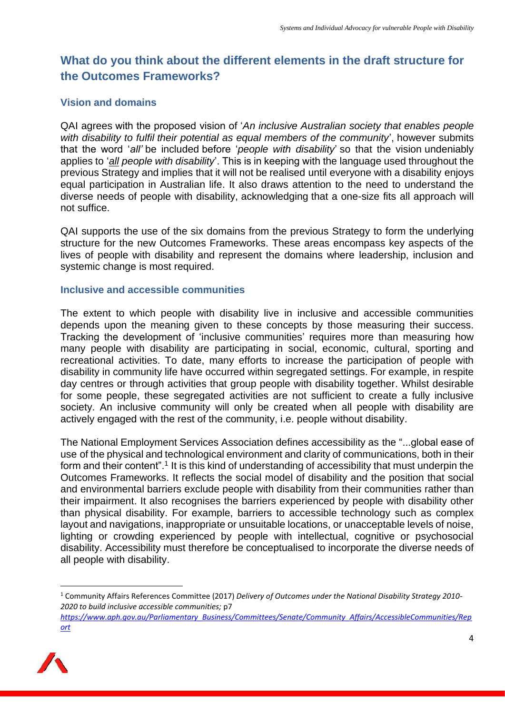## **What do you think about the different elements in the draft structure for the Outcomes Frameworks?**

#### **Vision and domains**

QAI agrees with the proposed vision of '*An inclusive Australian society that enables people with disability to fulfil their potential as equal members of the community*', however submits that the word '*all'* be included before '*people with disability*' so that the vision undeniably applies to '*all people with disability*'. This is in keeping with the language used throughout the previous Strategy and implies that it will not be realised until everyone with a disability enjoys equal participation in Australian life. It also draws attention to the need to understand the diverse needs of people with disability, acknowledging that a one-size fits all approach will not suffice.

QAI supports the use of the six domains from the previous Strategy to form the underlying structure for the new Outcomes Frameworks. These areas encompass key aspects of the lives of people with disability and represent the domains where leadership, inclusion and systemic change is most required.

#### **Inclusive and accessible communities**

The extent to which people with disability live in inclusive and accessible communities depends upon the meaning given to these concepts by those measuring their success. Tracking the development of 'inclusive communities' requires more than measuring how many people with disability are participating in social, economic, cultural, sporting and recreational activities. To date, many efforts to increase the participation of people with disability in community life have occurred within segregated settings. For example, in respite day centres or through activities that group people with disability together. Whilst desirable for some people, these segregated activities are not sufficient to create a fully inclusive society. An inclusive community will only be created when all people with disability are actively engaged with the rest of the community, i.e. people without disability.

The National Employment Services Association defines accessibility as the "...global ease of use of the physical and technological environment and clarity of communications, both in their form and their content".<sup>1</sup> It is this kind of understanding of accessibility that must underpin the Outcomes Frameworks. It reflects the social model of disability and the position that social and environmental barriers exclude people with disability from their communities rather than their impairment. It also recognises the barriers experienced by people with disability other than physical disability. For example, barriers to accessible technology such as complex layout and navigations, inappropriate or unsuitable locations, or unacceptable levels of noise, lighting or crowding experienced by people with intellectual, cognitive or psychosocial disability. Accessibility must therefore be conceptualised to incorporate the diverse needs of all people with disability.

*[https://www.aph.gov.au/Parliamentary\\_Business/Committees/Senate/Community\\_Affairs/AccessibleCommunities/Rep](https://www.aph.gov.au/Parliamentary_Business/Committees/Senate/Community_Affairs/AccessibleCommunities/Report) [ort](https://www.aph.gov.au/Parliamentary_Business/Committees/Senate/Community_Affairs/AccessibleCommunities/Report)*



<sup>1</sup> Community Affairs References Committee (2017) *Delivery of Outcomes under the National Disability Strategy 2010- 2020 to build inclusive accessible communities;* p7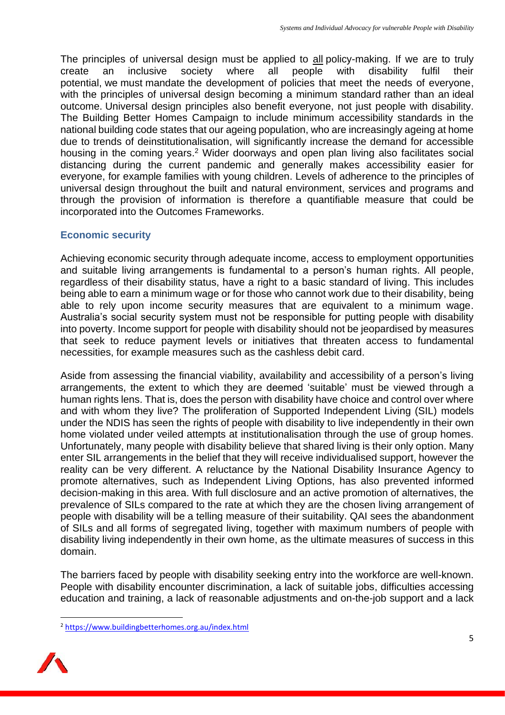The principles of universal design must be applied to all policy-making. If we are to truly create an inclusive society where all people with disability fulfil their potential, we must mandate the development of policies that meet the needs of everyone, with the principles of universal design becoming a minimum standard rather than an ideal outcome. Universal design principles also benefit everyone, not just people with disability. The Building Better Homes Campaign to include minimum accessibility standards in the national building code states that our ageing population, who are increasingly ageing at home due to trends of deinstitutionalisation, will significantly increase the demand for accessible housing in the coming years.<sup>2</sup> Wider doorways and open plan living also facilitates social distancing during the current pandemic and generally makes accessibility easier for everyone, for example families with young children. Levels of adherence to the principles of universal design throughout the built and natural environment, services and programs and through the provision of information is therefore a quantifiable measure that could be incorporated into the Outcomes Frameworks.

#### **Economic security**

Achieving economic security through adequate income, access to employment opportunities and suitable living arrangements is fundamental to a person's human rights. All people, regardless of their disability status, have a right to a basic standard of living. This includes being able to earn a minimum wage or for those who cannot work due to their disability, being able to rely upon income security measures that are equivalent to a minimum wage. Australia's social security system must not be responsible for putting people with disability into poverty. Income support for people with disability should not be jeopardised by measures that seek to reduce payment levels or initiatives that threaten access to fundamental necessities, for example measures such as the cashless debit card.

Aside from assessing the financial viability, availability and accessibility of a person's living arrangements, the extent to which they are deemed 'suitable' must be viewed through a human rights lens. That is, does the person with disability have choice and control over where and with whom they live? The proliferation of Supported Independent Living (SIL) models under the NDIS has seen the rights of people with disability to live independently in their own home violated under veiled attempts at institutionalisation through the use of group homes. Unfortunately, many people with disability believe that shared living is their only option. Many enter SIL arrangements in the belief that they will receive individualised support, however the reality can be very different. A reluctance by the National Disability Insurance Agency to promote alternatives, such as Independent Living Options, has also prevented informed decision-making in this area. With full disclosure and an active promotion of alternatives, the prevalence of SILs compared to the rate at which they are the chosen living arrangement of people with disability will be a telling measure of their suitability. QAI sees the abandonment of SILs and all forms of segregated living, together with maximum numbers of people with disability living independently in their own home, as the ultimate measures of success in this domain.

The barriers faced by people with disability seeking entry into the workforce are well-known. People with disability encounter discrimination, a lack of suitable jobs, difficulties accessing education and training, a lack of reasonable adjustments and on-the-job support and a lack

<sup>2</sup> <https://www.buildingbetterhomes.org.au/index.html>

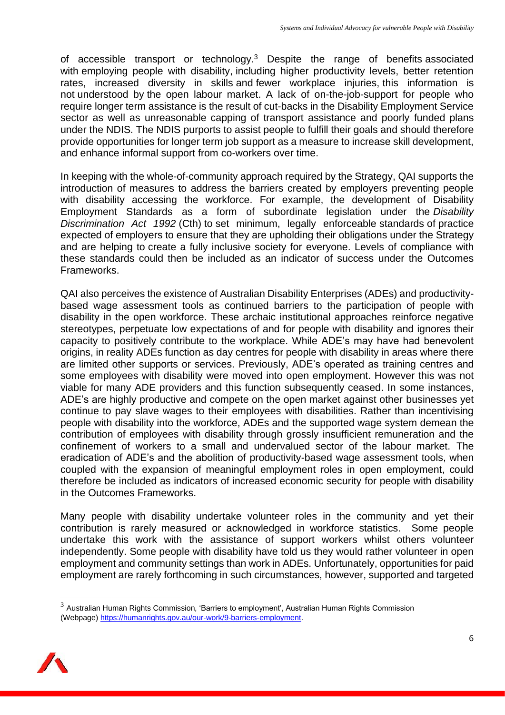of accessible transport or technology. $3$  Despite the range of benefits associated with employing people with disability, including higher productivity levels, better retention rates, increased diversity in skills and fewer workplace injuries, this information is not understood by the open labour market. A lack of on-the-job-support for people who require longer term assistance is the result of cut-backs in the Disability Employment Service sector as well as unreasonable capping of transport assistance and poorly funded plans under the NDIS. The NDIS purports to assist people to fulfill their goals and should therefore provide opportunities for longer term job support as a measure to increase skill development, and enhance informal support from co-workers over time.

In keeping with the whole-of-community approach required by the Strategy, QAI supports the introduction of measures to address the barriers created by employers preventing people with disability accessing the workforce. For example, the development of Disability Employment Standards as a form of subordinate legislation under the *Disability Discrimination Act 1992* (Cth) to set minimum, legally enforceable standards of practice expected of employers to ensure that they are upholding their obligations under the Strategy and are helping to create a fully inclusive society for everyone. Levels of compliance with these standards could then be included as an indicator of success under the Outcomes Frameworks.

QAI also perceives the existence of Australian Disability Enterprises (ADEs) and productivitybased wage assessment tools as continued barriers to the participation of people with disability in the open workforce. These archaic institutional approaches reinforce negative stereotypes, perpetuate low expectations of and for people with disability and ignores their capacity to positively contribute to the workplace. While ADE's may have had benevolent origins, in reality ADEs function as day centres for people with disability in areas where there are limited other supports or services. Previously, ADE's operated as training centres and some employees with disability were moved into open employment. However this was not viable for many ADE providers and this function subsequently ceased. In some instances, ADE's are highly productive and compete on the open market against other businesses yet continue to pay slave wages to their employees with disabilities. Rather than incentivising people with disability into the workforce, ADEs and the supported wage system demean the contribution of employees with disability through grossly insufficient remuneration and the confinement of workers to a small and undervalued sector of the labour market. The eradication of ADE's and the abolition of productivity-based wage assessment tools, when coupled with the expansion of meaningful employment roles in open employment, could therefore be included as indicators of increased economic security for people with disability in the Outcomes Frameworks.

Many people with disability undertake volunteer roles in the community and yet their contribution is rarely measured or acknowledged in workforce statistics. Some people undertake this work with the assistance of support workers whilst others volunteer independently. Some people with disability have told us they would rather volunteer in open employment and community settings than work in ADEs. Unfortunately, opportunities for paid employment are rarely forthcoming in such circumstances, however, supported and targeted

<sup>3</sup> Australian Human Rights Commission*,* 'Barriers to employment', Australian Human Rights Commission (Webpage) [https://humanrights.gov.au/our-work/9-barriers-employment.](https://humanrights.gov.au/our-work/9-barriers-employment)

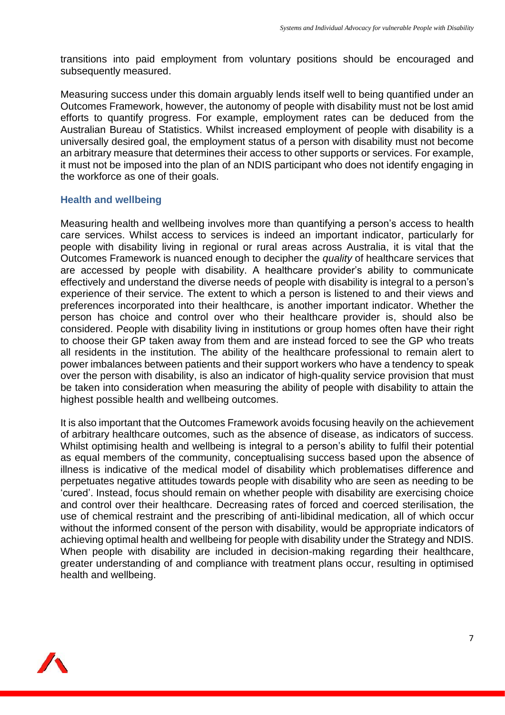transitions into paid employment from voluntary positions should be encouraged and subsequently measured.

Measuring success under this domain arguably lends itself well to being quantified under an Outcomes Framework, however, the autonomy of people with disability must not be lost amid efforts to quantify progress. For example, employment rates can be deduced from the Australian Bureau of Statistics. Whilst increased employment of people with disability is a universally desired goal, the employment status of a person with disability must not become an arbitrary measure that determines their access to other supports or services. For example, it must not be imposed into the plan of an NDIS participant who does not identify engaging in the workforce as one of their goals.

#### **Health and wellbeing**

Measuring health and wellbeing involves more than quantifying a person's access to health care services. Whilst access to services is indeed an important indicator, particularly for people with disability living in regional or rural areas across Australia, it is vital that the Outcomes Framework is nuanced enough to decipher the *quality* of healthcare services that are accessed by people with disability. A healthcare provider's ability to communicate effectively and understand the diverse needs of people with disability is integral to a person's experience of their service. The extent to which a person is listened to and their views and preferences incorporated into their healthcare, is another important indicator. Whether the person has choice and control over who their healthcare provider is, should also be considered. People with disability living in institutions or group homes often have their right to choose their GP taken away from them and are instead forced to see the GP who treats all residents in the institution. The ability of the healthcare professional to remain alert to power imbalances between patients and their support workers who have a tendency to speak over the person with disability, is also an indicator of high-quality service provision that must be taken into consideration when measuring the ability of people with disability to attain the highest possible health and wellbeing outcomes.

It is also important that the Outcomes Framework avoids focusing heavily on the achievement of arbitrary healthcare outcomes, such as the absence of disease, as indicators of success. Whilst optimising health and wellbeing is integral to a person's ability to fulfil their potential as equal members of the community, conceptualising success based upon the absence of illness is indicative of the medical model of disability which problematises difference and perpetuates negative attitudes towards people with disability who are seen as needing to be 'cured'. Instead, focus should remain on whether people with disability are exercising choice and control over their healthcare. Decreasing rates of forced and coerced sterilisation, the use of chemical restraint and the prescribing of anti-libidinal medication, all of which occur without the informed consent of the person with disability, would be appropriate indicators of achieving optimal health and wellbeing for people with disability under the Strategy and NDIS. When people with disability are included in decision-making regarding their healthcare, greater understanding of and compliance with treatment plans occur, resulting in optimised health and wellbeing.

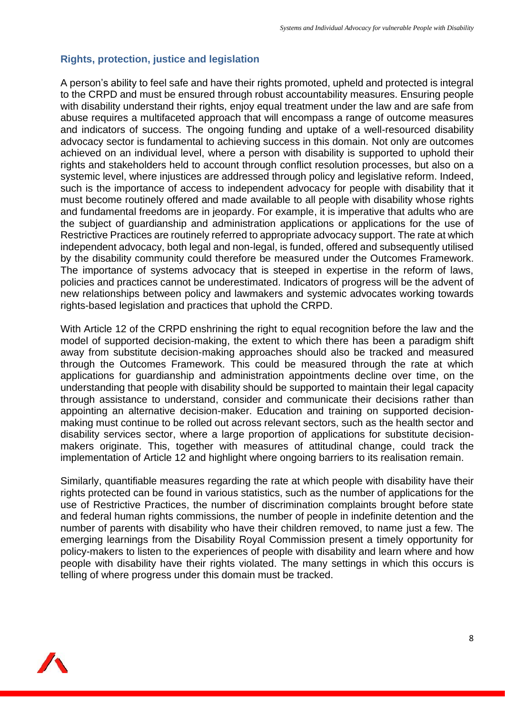#### **Rights, protection, justice and legislation**

A person's ability to feel safe and have their rights promoted, upheld and protected is integral to the CRPD and must be ensured through robust accountability measures. Ensuring people with disability understand their rights, enjoy equal treatment under the law and are safe from abuse requires a multifaceted approach that will encompass a range of outcome measures and indicators of success. The ongoing funding and uptake of a well-resourced disability advocacy sector is fundamental to achieving success in this domain. Not only are outcomes achieved on an individual level, where a person with disability is supported to uphold their rights and stakeholders held to account through conflict resolution processes, but also on a systemic level, where injustices are addressed through policy and legislative reform. Indeed, such is the importance of access to independent advocacy for people with disability that it must become routinely offered and made available to all people with disability whose rights and fundamental freedoms are in jeopardy. For example, it is imperative that adults who are the subject of guardianship and administration applications or applications for the use of Restrictive Practices are routinely referred to appropriate advocacy support. The rate at which independent advocacy, both legal and non-legal, is funded, offered and subsequently utilised by the disability community could therefore be measured under the Outcomes Framework. The importance of systems advocacy that is steeped in expertise in the reform of laws, policies and practices cannot be underestimated. Indicators of progress will be the advent of new relationships between policy and lawmakers and systemic advocates working towards rights-based legislation and practices that uphold the CRPD.

With Article 12 of the CRPD enshrining the right to equal recognition before the law and the model of supported decision-making, the extent to which there has been a paradigm shift away from substitute decision-making approaches should also be tracked and measured through the Outcomes Framework. This could be measured through the rate at which applications for guardianship and administration appointments decline over time, on the understanding that people with disability should be supported to maintain their legal capacity through assistance to understand, consider and communicate their decisions rather than appointing an alternative decision-maker. Education and training on supported decisionmaking must continue to be rolled out across relevant sectors, such as the health sector and disability services sector, where a large proportion of applications for substitute decisionmakers originate. This, together with measures of attitudinal change, could track the implementation of Article 12 and highlight where ongoing barriers to its realisation remain.

Similarly, quantifiable measures regarding the rate at which people with disability have their rights protected can be found in various statistics, such as the number of applications for the use of Restrictive Practices, the number of discrimination complaints brought before state and federal human rights commissions, the number of people in indefinite detention and the number of parents with disability who have their children removed, to name just a few. The emerging learnings from the Disability Royal Commission present a timely opportunity for policy-makers to listen to the experiences of people with disability and learn where and how people with disability have their rights violated. The many settings in which this occurs is telling of where progress under this domain must be tracked.

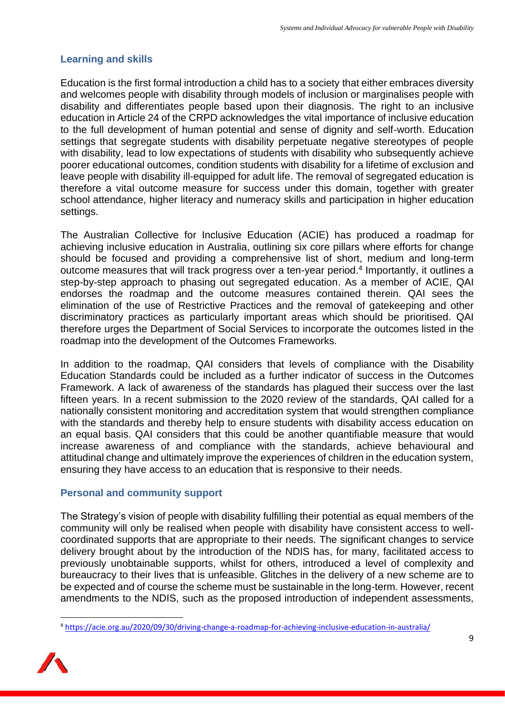#### **Learning and skills**

Education is the first formal introduction a child has to a society that either embraces diversity and welcomes people with disability through models of inclusion or marginalises people with disability and differentiates people based upon their diagnosis. The right to an inclusive education in Article 24 of the CRPD acknowledges the vital importance of inclusive education to the full development of human potential and sense of dignity and self-worth. Education settings that segregate students with disability perpetuate negative stereotypes of people with disability, lead to low expectations of students with disability who subsequently achieve poorer educational outcomes, condition students with disability for a lifetime of exclusion and leave people with disability ill-equipped for adult life. The removal of segregated education is therefore a vital outcome measure for success under this domain, together with greater school attendance, higher literacy and numeracy skills and participation in higher education settings.

The Australian Collective for Inclusive Education (ACIE) has produced a roadmap for achieving inclusive education in Australia, outlining six core pillars where efforts for change should be focused and providing a comprehensive list of short, medium and long-term outcome measures that will track progress over a ten-year period. 4 Importantly, it outlines a step-by-step approach to phasing out segregated education. As a member of ACIE, QAI endorses the roadmap and the outcome measures contained therein. QAI sees the elimination of the use of Restrictive Practices and the removal of gatekeeping and other discriminatory practices as particularly important areas which should be prioritised. QAI therefore urges the Department of Social Services to incorporate the outcomes listed in the roadmap into the development of the Outcomes Frameworks.

In addition to the roadmap, QAI considers that levels of compliance with the Disability Education Standards could be included as a further indicator of success in the Outcomes Framework. A lack of awareness of the standards has plagued their success over the last fifteen years. In a recent submission to the 2020 review of the standards, QAI called for a nationally consistent monitoring and accreditation system that would strengthen compliance with the standards and thereby help to ensure students with disability access education on an equal basis. QAI considers that this could be another quantifiable measure that would increase awareness of and compliance with the standards, achieve behavioural and attitudinal change and ultimately improve the experiences of children in the education system, ensuring they have access to an education that is responsive to their needs.

#### **Personal and community support**

The Strategy's vision of people with disability fulfilling their potential as equal members of the community will only be realised when people with disability have consistent access to wellcoordinated supports that are appropriate to their needs. The significant changes to service delivery brought about by the introduction of the NDIS has, for many, facilitated access to previously unobtainable supports, whilst for others, introduced a level of complexity and bureaucracy to their lives that is unfeasible. Glitches in the delivery of a new scheme are to be expected and of course the scheme must be sustainable in the long-term. However, recent amendments to the NDIS, such as the proposed introduction of independent assessments,

<sup>4</sup> <https://acie.org.au/2020/09/30/driving-change-a-roadmap-for-achieving-inclusive-education-in-australia/>

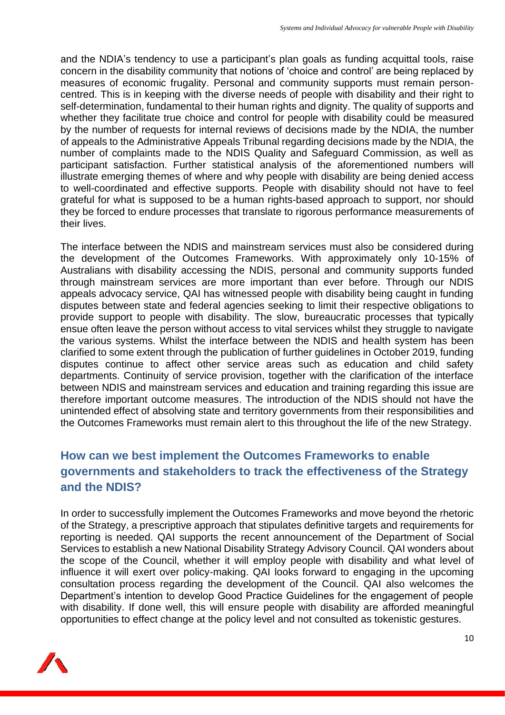and the NDIA's tendency to use a participant's plan goals as funding acquittal tools, raise concern in the disability community that notions of 'choice and control' are being replaced by measures of economic frugality. Personal and community supports must remain personcentred. This is in keeping with the diverse needs of people with disability and their right to self-determination, fundamental to their human rights and dignity. The quality of supports and whether they facilitate true choice and control for people with disability could be measured by the number of requests for internal reviews of decisions made by the NDIA, the number of appeals to the Administrative Appeals Tribunal regarding decisions made by the NDIA, the number of complaints made to the NDIS Quality and Safeguard Commission, as well as participant satisfaction. Further statistical analysis of the aforementioned numbers will illustrate emerging themes of where and why people with disability are being denied access to well-coordinated and effective supports. People with disability should not have to feel grateful for what is supposed to be a human rights-based approach to support, nor should they be forced to endure processes that translate to rigorous performance measurements of their lives.

The interface between the NDIS and mainstream services must also be considered during the development of the Outcomes Frameworks. With approximately only 10-15% of Australians with disability accessing the NDIS, personal and community supports funded through mainstream services are more important than ever before. Through our NDIS appeals advocacy service, QAI has witnessed people with disability being caught in funding disputes between state and federal agencies seeking to limit their respective obligations to provide support to people with disability. The slow, bureaucratic processes that typically ensue often leave the person without access to vital services whilst they struggle to navigate the various systems. Whilst the interface between the NDIS and health system has been clarified to some extent through the publication of further guidelines in October 2019, funding disputes continue to affect other service areas such as education and child safety departments. Continuity of service provision, together with the clarification of the interface between NDIS and mainstream services and education and training regarding this issue are therefore important outcome measures. The introduction of the NDIS should not have the unintended effect of absolving state and territory governments from their responsibilities and the Outcomes Frameworks must remain alert to this throughout the life of the new Strategy.

## **How can we best implement the Outcomes Frameworks to enable governments and stakeholders to track the effectiveness of the Strategy and the NDIS?**

In order to successfully implement the Outcomes Frameworks and move beyond the rhetoric of the Strategy, a prescriptive approach that stipulates definitive targets and requirements for reporting is needed. QAI supports the recent announcement of the Department of Social Services to establish a new National Disability Strategy Advisory Council. QAI wonders about the scope of the Council, whether it will employ people with disability and what level of influence it will exert over policy-making. QAI looks forward to engaging in the upcoming consultation process regarding the development of the Council. QAI also welcomes the Department's intention to develop Good Practice Guidelines for the engagement of people with disability. If done well, this will ensure people with disability are afforded meaningful opportunities to effect change at the policy level and not consulted as tokenistic gestures.

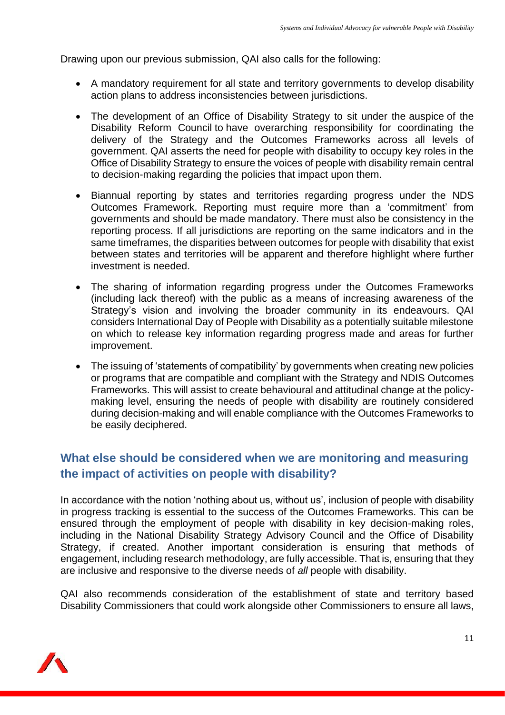Drawing upon our previous submission, QAI also calls for the following:

- A mandatory requirement for all state and territory governments to develop disability action plans to address inconsistencies between jurisdictions.
- The development of an Office of Disability Strategy to sit under the auspice of the Disability Reform Council to have overarching responsibility for coordinating the delivery of the Strategy and the Outcomes Frameworks across all levels of government. QAI asserts the need for people with disability to occupy key roles in the Office of Disability Strategy to ensure the voices of people with disability remain central to decision-making regarding the policies that impact upon them.
- Biannual reporting by states and territories regarding progress under the NDS Outcomes Framework. Reporting must require more than a 'commitment' from governments and should be made mandatory. There must also be consistency in the reporting process. If all jurisdictions are reporting on the same indicators and in the same timeframes, the disparities between outcomes for people with disability that exist between states and territories will be apparent and therefore highlight where further investment is needed.
- The sharing of information regarding progress under the Outcomes Frameworks (including lack thereof) with the public as a means of increasing awareness of the Strategy's vision and involving the broader community in its endeavours. QAI considers International Day of People with Disability as a potentially suitable milestone on which to release key information regarding progress made and areas for further improvement.
- The issuing of 'statements of compatibility' by governments when creating new policies or programs that are compatible and compliant with the Strategy and NDIS Outcomes Frameworks. This will assist to create behavioural and attitudinal change at the policymaking level, ensuring the needs of people with disability are routinely considered during decision-making and will enable compliance with the Outcomes Frameworks to be easily deciphered.

### **What else should be considered when we are monitoring and measuring the impact of activities on people with disability?**

In accordance with the notion 'nothing about us, without us', inclusion of people with disability in progress tracking is essential to the success of the Outcomes Frameworks. This can be ensured through the employment of people with disability in key decision-making roles, including in the National Disability Strategy Advisory Council and the Office of Disability Strategy, if created. Another important consideration is ensuring that methods of engagement, including research methodology, are fully accessible. That is, ensuring that they are inclusive and responsive to the diverse needs of *all* people with disability.

QAI also recommends consideration of the establishment of state and territory based Disability Commissioners that could work alongside other Commissioners to ensure all laws,